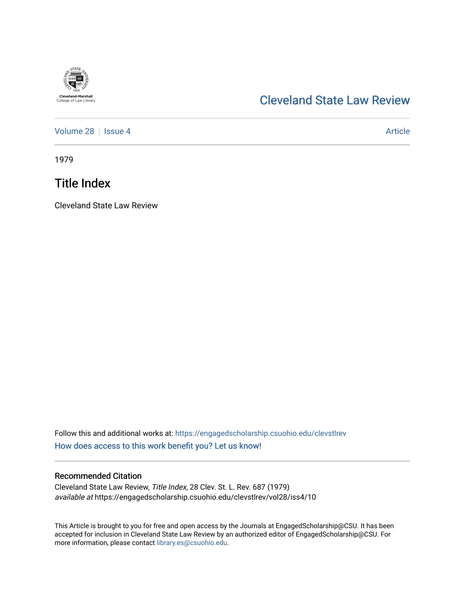

## [Cleveland State Law Review](https://engagedscholarship.csuohio.edu/clevstlrev)

[Volume 28](https://engagedscholarship.csuohio.edu/clevstlrev/vol28) | [Issue 4](https://engagedscholarship.csuohio.edu/clevstlrev/vol28/iss4) Article

1979

## Title Index

Cleveland State Law Review

Follow this and additional works at: [https://engagedscholarship.csuohio.edu/clevstlrev](https://engagedscholarship.csuohio.edu/clevstlrev?utm_source=engagedscholarship.csuohio.edu%2Fclevstlrev%2Fvol28%2Fiss4%2F10&utm_medium=PDF&utm_campaign=PDFCoverPages) [How does access to this work benefit you? Let us know!](http://library.csuohio.edu/engaged/)

## Recommended Citation

Cleveland State Law Review, Title Index, 28 Clev. St. L. Rev. 687 (1979) available at https://engagedscholarship.csuohio.edu/clevstlrev/vol28/iss4/10

This Article is brought to you for free and open access by the Journals at EngagedScholarship@CSU. It has been accepted for inclusion in Cleveland State Law Review by an authorized editor of EngagedScholarship@CSU. For more information, please contact [library.es@csuohio.edu](mailto:library.es@csuohio.edu).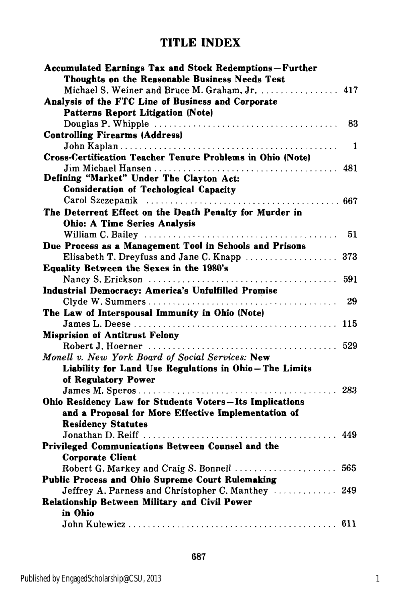## **TITLE INDEX**

| Accumulated Earnings Tax and Stock Redemptions-Further            |     |
|-------------------------------------------------------------------|-----|
| Thoughts on the Reasonable Business Needs Test                    |     |
| Michael S. Weiner and Bruce M. Graham, Jr.                        | 417 |
| Analysis of the FTC Line of Business and Corporate                |     |
| <b>Patterns Report Litigation (Note)</b>                          |     |
|                                                                   | 83  |
| <b>Controlling Firearms (Address)</b>                             |     |
|                                                                   | 1   |
| <b>Cross-Certification Teacher Tenure Problems in Ohio (Note)</b> |     |
|                                                                   |     |
| Defining "Market" Under The Clayton Act:                          |     |
| <b>Consideration of Techological Capacity</b>                     |     |
|                                                                   | 667 |
| The Deterrent Effect on the Death Penalty for Murder in           |     |
| <b>Ohio: A Time Series Analysis</b>                               |     |
|                                                                   | 51  |
| Due Process as a Management Tool in Schools and Prisons           |     |
|                                                                   |     |
| Equality Between the Sexes in the 1980's                          |     |
|                                                                   |     |
|                                                                   |     |
| <b>Industrial Democracy: America's Unfulfilled Promise</b>        |     |
|                                                                   | 29  |
| The Law of Interspousal Immunity in Ohio (Note)                   |     |
|                                                                   | 115 |
| <b>Misprision of Antitrust Felony</b>                             |     |
|                                                                   |     |
| Monell v. New York Board of Social Services: New                  |     |
| Liability for Land Use Regulations in Ohio-The Limits             |     |
| of Regulatory Power                                               |     |
|                                                                   | 283 |
| Ohio Residency Law for Students Voters-Its Implications           |     |
| and a Proposal for More Effective Implementation of               |     |
| <b>Residency Statutes</b>                                         |     |
|                                                                   | 449 |
| Privileged Communications Between Counsel and the                 |     |
| <b>Corporate Client</b>                                           |     |
| Robert G. Markey and Craig S. Bonnell  565                        |     |
| Public Process and Ohio Supreme Court Rulemaking                  |     |
| Jeffrey A. Parness and Christopher C. Manthey  249                |     |
| <b>Relationship Between Military and Civil Power</b>              |     |
| in Ohio                                                           |     |
|                                                                   |     |
|                                                                   |     |